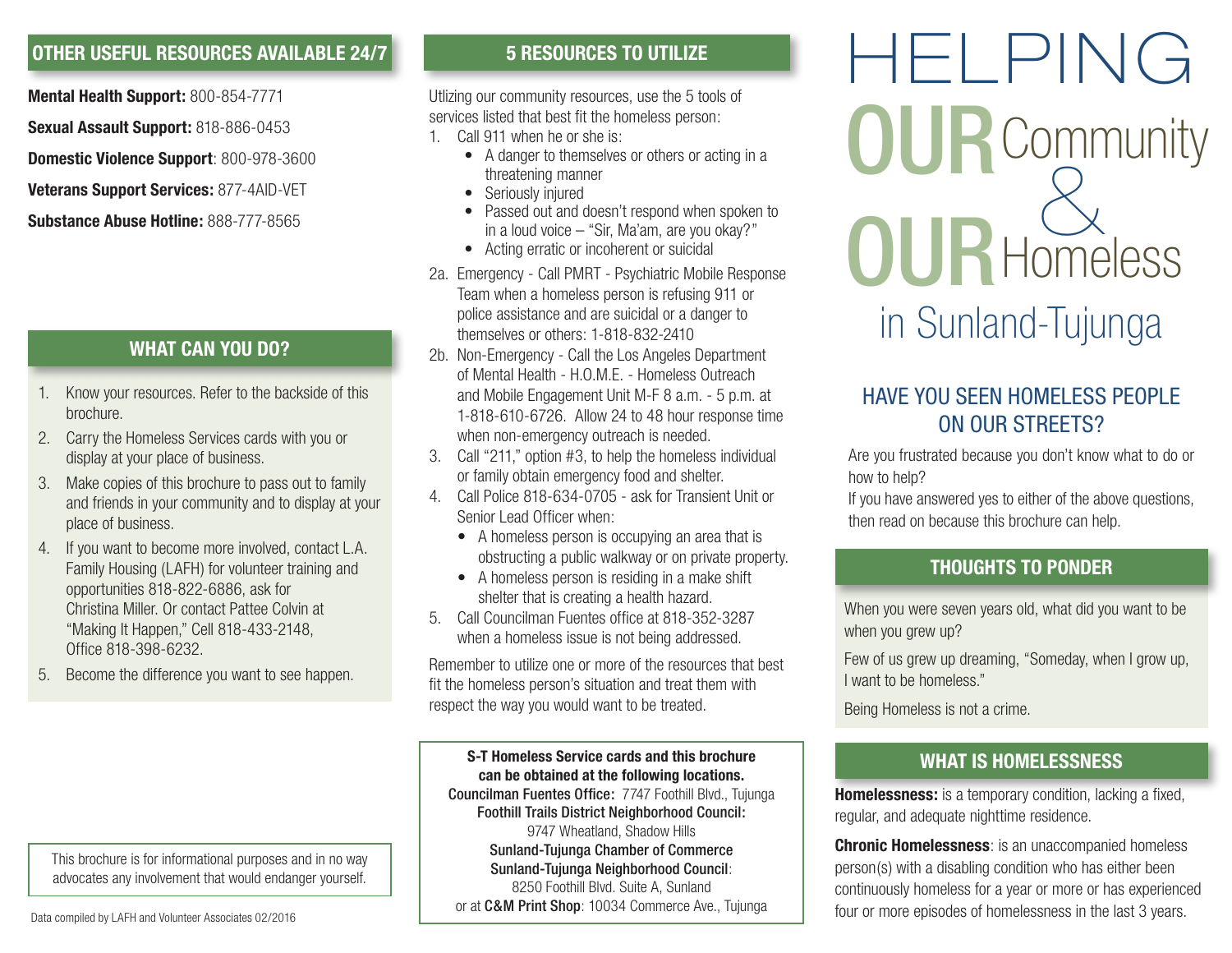### **OTHER USEFUL RESOURCES AVAILABLE 24/7**

**Mental Health Support:** 800-854-7771 **Sexual Assault Support:** 818-886-0453 **Domestic Violence Support**: 800-978-3600

**Veterans Support Services:** 877-4AID-VET

**Substance Abuse Hotline:** 888-777-8565

### **WHAT CAN YOU DO?**

- 1. Know your resources. Refer to the backside of this brochure.
- 2. Carry the Homeless Services cards with you or display at your place of business.
- 3. Make copies of this brochure to pass out to family and friends in your community and to display at your place of business.
- 4. If you want to become more involved, contact L.A. Family Housing (LAFH) for volunteer training and opportunities 818-822-6886, ask for Christina Miller. Or contact Pattee Colvin at "Making It Happen," Cell 818-433-2148, Office 818-398-6232.
- 5. Become the difference you want to see happen.

This brochure is for informational purposes and in no way advocates any involvement that would endanger yourself.

### **5 RESOURCES TO UTILIZE**

Utlizing our community resources, use the 5 tools of services listed that best fit the homeless person:

- 1. Call 911 when he or she is:
	- A danger to themselves or others or acting in a threatening manner
	- Seriously injured
	- Passed out and doesn't respond when spoken to in a loud voice – "Sir, Ma'am, are you okay?"
	- Acting erratic or incoherent or suicidal
- 2a. Emergency Call PMRT Psychiatric Mobile Response Team when a homeless person is refusing 911 or police assistance and are suicidal or a danger to themselves or others: 1-818-832-2410
- 2b. Non-Emergency Call the Los Angeles Department of Mental Health - H.O.M.E. - Homeless Outreach and Mobile Engagement Unit M-F 8 a.m. - 5 p.m. at 1-818-610-6726. Allow 24 to 48 hour response time when non-emergency outreach is needed.
- 3. Call "211," option #3, to help the homeless individual or family obtain emergency food and shelter.
- 4. Call Police 818-634-0705 ask for Transient Unit or Senior Lead Officer when:
	- A homeless person is occupying an area that is obstructing a public walkway or on private property.
	- A homeless person is residing in a make shift shelter that is creating a health hazard.
- 5. Call Councilman Fuentes office at 818-352-3287 when a homeless issue is not being addressed.

Remember to utilize one or more of the resources that best fit the homeless person's situation and treat them with respect the way you would want to be treated.

**S-T Homeless Service cards and this brochure can be obtained at the following locations.** Councilman Fuentes Office: 7747 Foothill Blvd., Tujunga Foothill Trails District Neighborhood Council: 9747 Wheatland, Shadow Hills Sunland-Tujunga Chamber of Commerce Sunland-Tujunga Neighborhood Council: 8250 Foothill Blvd. Suite A, Sunland or at C&M Print Shop: 10034 Commerce Ave., Tujunga

# HELPING  $\overline{\mathcal{L}}$ **Community Homeless** in Sunland-Tujunga OUR OUR

## HAVE YOU SEEN HOMELESS PEOPLE ON OUR STREETS?

Are you frustrated because you don't know what to do or how to help?

If you have answered yes to either of the above questions, then read on because this brochure can help.

### **THOUGHTS TO PONDER**

When you were seven years old, what did you want to be when you grew up?

Few of us grew up dreaming, "Someday, when I grow up, I want to be homeless."

Being Homeless is not a crime.

### **WHAT IS HOMELESSNESS**

**Homelessness:** is a temporary condition, lacking a fixed, regular, and adequate nighttime residence.

**Chronic Homelessness**: is an unaccompanied homeless person(s) with a disabling condition who has either been continuously homeless for a year or more or has experienced four or more episodes of homelessness in the last 3 years.